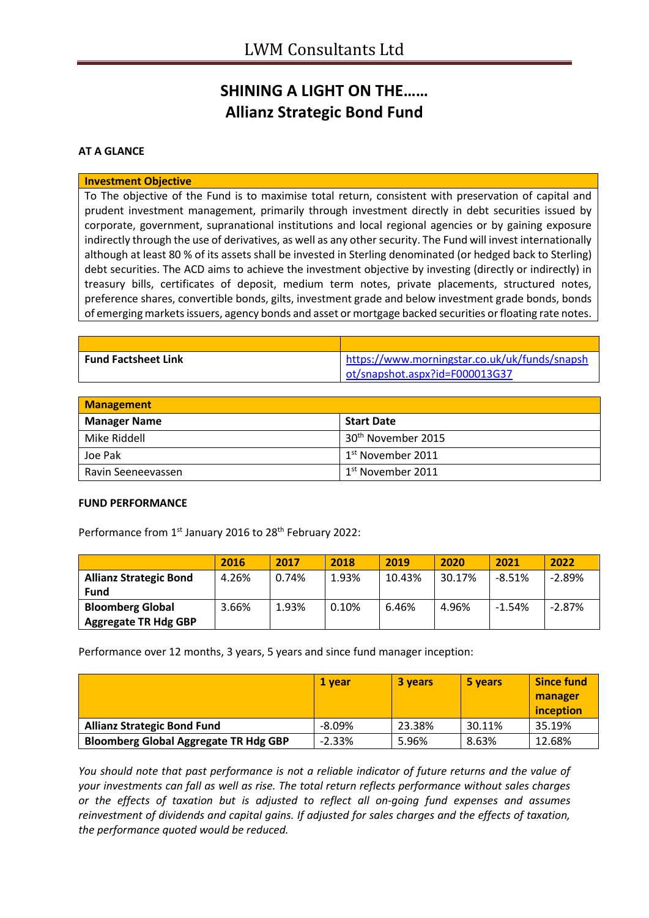## **SHINING A LIGHT ON THE…… Allianz Strategic Bond Fund**

#### **AT A GLANCE**

#### **Investment Objective**

To The objective of the Fund is to maximise total return, consistent with preservation of capital and prudent investment management, primarily through investment directly in debt securities issued by corporate, government, supranational institutions and local regional agencies or by gaining exposure indirectly through the use of derivatives, as well as any other security. The Fund will invest internationally although at least 80 % of its assets shall be invested in Sterling denominated (or hedged back to Sterling) debt securities. The ACD aims to achieve the investment objective by investing (directly or indirectly) in treasury bills, certificates of deposit, medium term notes, private placements, structured notes, preference shares, convertible bonds, gilts, investment grade and below investment grade bonds, bonds of emerging markets issuers, agency bonds and asset or mortgage backed securities or floating rate notes.

| <b>Fund Factsheet Link</b> | https://www.morningstar.co.uk/uk/funds/snapsh |
|----------------------------|-----------------------------------------------|
|                            | ot/snapshot.aspx?id=F000013G37                |

| <b>Management</b>   |                                |  |  |
|---------------------|--------------------------------|--|--|
| <b>Manager Name</b> | <b>Start Date</b>              |  |  |
| Mike Riddell        | 30 <sup>th</sup> November 2015 |  |  |
| Joe Pak             | 1 <sup>st</sup> November 2011  |  |  |
| Ravin Seeneevassen  | $1st$ November 2011            |  |  |

#### **FUND PERFORMANCE**

Performance from 1st January 2016 to 28<sup>th</sup> February 2022:

|                               | 2016  | 2017  | 2018  | 2019   | 2020   | 2021     | 2022     |
|-------------------------------|-------|-------|-------|--------|--------|----------|----------|
| <b>Allianz Strategic Bond</b> | 4.26% | 0.74% | 1.93% | 10.43% | 30.17% | $-8.51%$ | $-2.89%$ |
| <b>Fund</b>                   |       |       |       |        |        |          |          |
| <b>Bloomberg Global</b>       | 3.66% | 1.93% | 0.10% | 6.46%  | 4.96%  | $-1.54%$ | $-2.87%$ |
| <b>Aggregate TR Hdg GBP</b>   |       |       |       |        |        |          |          |

Performance over 12 months, 3 years, 5 years and since fund manager inception:

|                                              | 1 vear    | 3 years | 5 years | <b>Since fund</b> |
|----------------------------------------------|-----------|---------|---------|-------------------|
|                                              |           |         |         | manager           |
|                                              |           |         |         | inception         |
| <b>Allianz Strategic Bond Fund</b>           | $-8.09\%$ | 23.38%  | 30.11%  | 35.19%            |
| <b>Bloomberg Global Aggregate TR Hdg GBP</b> | $-2.33%$  | 5.96%   | 8.63%   | 12.68%            |

*You should note that past performance is not a reliable indicator of future returns and the value of your investments can fall as well as rise. The total return reflects performance without sales charges or the effects of taxation but is adjusted to reflect all on-going fund expenses and assumes reinvestment of dividends and capital gains. If adjusted for sales charges and the effects of taxation, the performance quoted would be reduced.*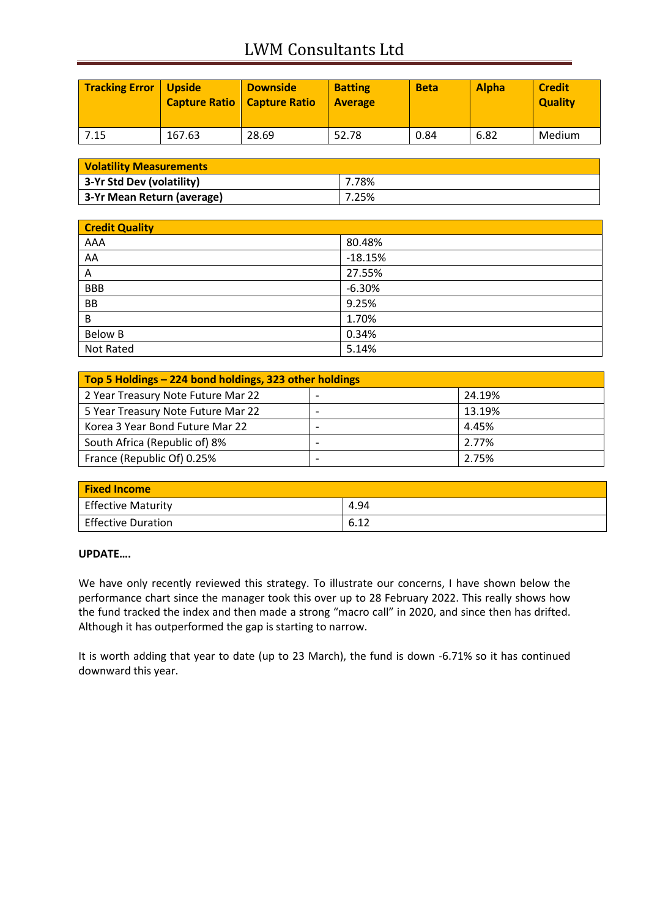# LWM Consultants Ltd

| Tracking Error   Upside | <b>Capture Ratio   Capture Ratio</b> | <b>Downside</b> | <b>Batting</b><br><b>Average</b> | <b>Beta</b> | <b>Alpha</b> | <b>Credit</b><br><b>Quality</b> |
|-------------------------|--------------------------------------|-----------------|----------------------------------|-------------|--------------|---------------------------------|
| 7.15                    | 167.63                               | 28.69           | 52.78                            | 0.84        | 6.82         | Medium                          |

| <b>Volatility Measurements</b> |       |
|--------------------------------|-------|
| 3-Yr Std Dev (volatility)      | 7.78% |
| 3-Yr Mean Return (average)     | 7.25% |

| <b>Credit Quality</b> |           |
|-----------------------|-----------|
| AAA                   | 80.48%    |
| AA                    | $-18.15%$ |
| Α                     | 27.55%    |
| <b>BBB</b>            | $-6.30%$  |
| <b>BB</b>             | 9.25%     |
| B                     | 1.70%     |
| <b>Below B</b>        | 0.34%     |
| Not Rated             | 5.14%     |

| Top 5 Holdings – 224 bond holdings, 323 other holdings |                          |        |  |
|--------------------------------------------------------|--------------------------|--------|--|
| 2 Year Treasury Note Future Mar 22                     |                          | 24.19% |  |
| 5 Year Treasury Note Future Mar 22                     |                          | 13.19% |  |
| Korea 3 Year Bond Future Mar 22                        | $\overline{\phantom{0}}$ | 4.45%  |  |
| South Africa (Republic of) 8%                          |                          | 2.77%  |  |
| France (Republic Of) 0.25%                             |                          | 2.75%  |  |

| <b>Fixed Income</b>       |      |
|---------------------------|------|
| <b>Effective Maturity</b> | 4.94 |
| Effective Duration        | 6.12 |

### **UPDATE….**

We have only recently reviewed this strategy. To illustrate our concerns, I have shown below the performance chart since the manager took this over up to 28 February 2022. This really shows how the fund tracked the index and then made a strong "macro call" in 2020, and since then has drifted. Although it has outperformed the gap is starting to narrow.

It is worth adding that year to date (up to 23 March), the fund is down -6.71% so it has continued downward this year.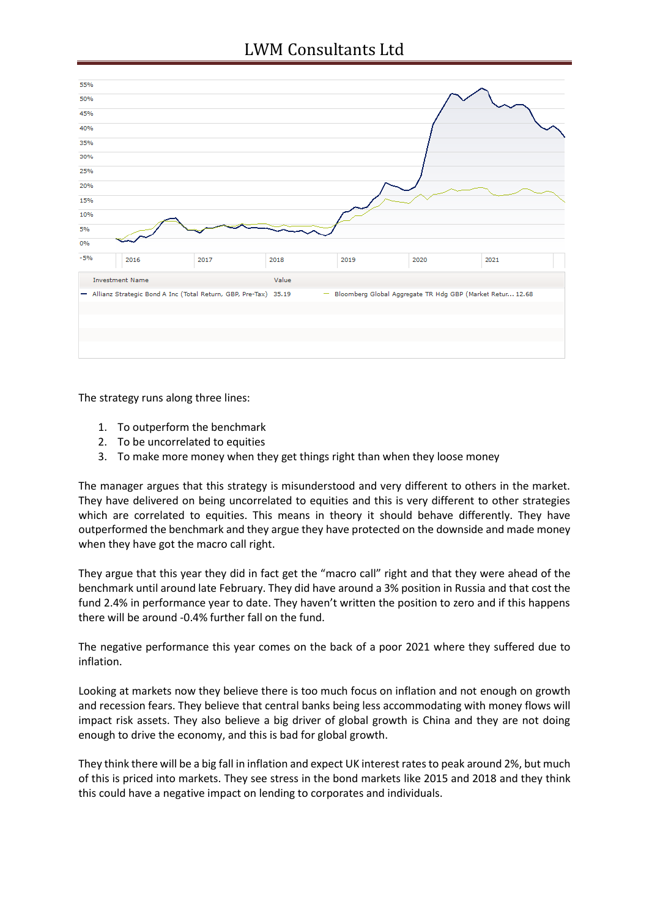## LWM Consultants Ltd

| 2018  | 2019                                                              | 2020 | 2021                                                        |
|-------|-------------------------------------------------------------------|------|-------------------------------------------------------------|
| Value |                                                                   |      |                                                             |
|       |                                                                   |      |                                                             |
|       |                                                                   |      |                                                             |
|       |                                                                   |      |                                                             |
|       |                                                                   |      |                                                             |
|       |                                                                   |      |                                                             |
|       | - Allianz Strategic Bond A Inc (Total Return, GBP, Pre-Tax) 35.19 |      | - Bloomberg Global Aggregate TR Hdg GBP (Market Retur 12.68 |

The strategy runs along three lines:

- 1. To outperform the benchmark
- 2. To be uncorrelated to equities
- 3. To make more money when they get things right than when they loose money

The manager argues that this strategy is misunderstood and very different to others in the market. They have delivered on being uncorrelated to equities and this is very different to other strategies which are correlated to equities. This means in theory it should behave differently. They have outperformed the benchmark and they argue they have protected on the downside and made money when they have got the macro call right.

They argue that this year they did in fact get the "macro call" right and that they were ahead of the benchmark until around late February. They did have around a 3% position in Russia and that cost the fund 2.4% in performance year to date. They haven't written the position to zero and if this happens there will be around -0.4% further fall on the fund.

The negative performance this year comes on the back of a poor 2021 where they suffered due to inflation.

Looking at markets now they believe there is too much focus on inflation and not enough on growth and recession fears. They believe that central banks being less accommodating with money flows will impact risk assets. They also believe a big driver of global growth is China and they are not doing enough to drive the economy, and this is bad for global growth.

They think there will be a big fall in inflation and expect UK interest rates to peak around 2%, but much of this is priced into markets. They see stress in the bond markets like 2015 and 2018 and they think this could have a negative impact on lending to corporates and individuals.